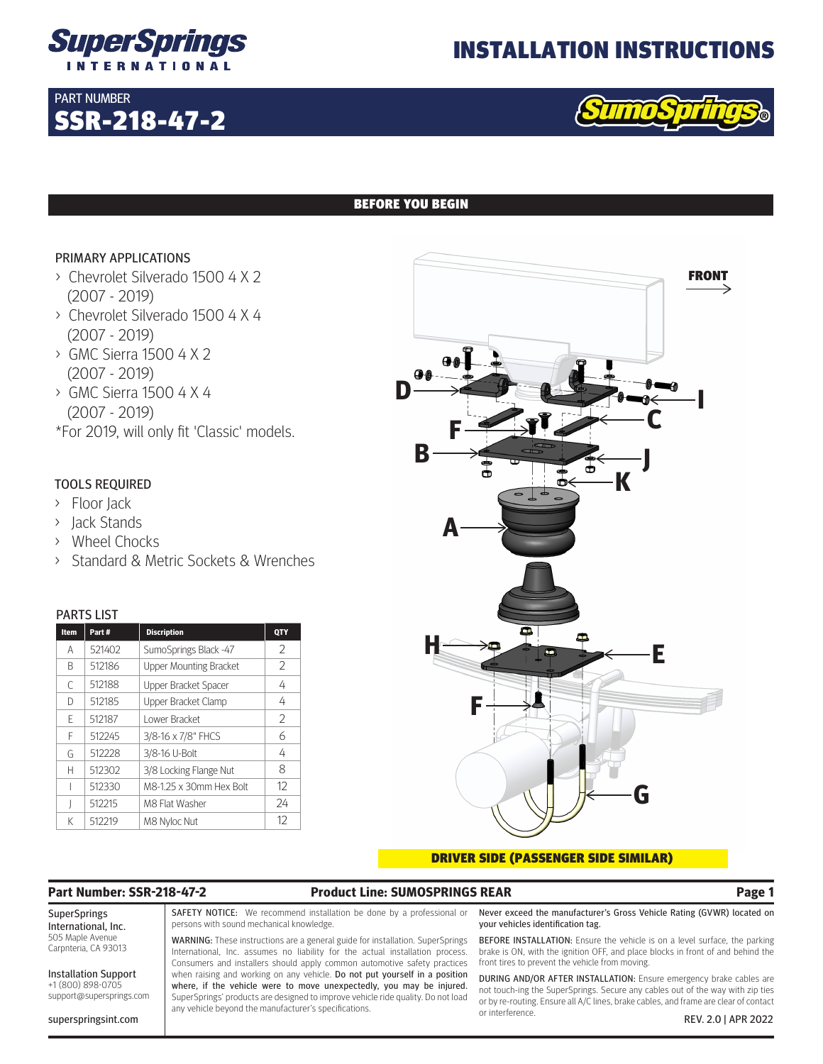

SSR-218-47-2

# INSTALLATION INSTRUCTIONS



# BEFORE YOU BEGIN

# PRIMARY APPLICATIONS

PART NUMBER

- > Chevrolet Silverado 1500 4 X 2 (2007 - 2019)
- > Chevrolet Silverado 1500 4 X 4 (2007 - 2019)
- > GMC Sierra 1500 4 X 2 (2007 - 2019)
- > GMC Sierra 1500 4 X 4 (2007 - 2019)
- \*For 2019, will only fit 'Classic' models.

# TOOLS REQUIRED

- > Floor Jack
- > Jack Stands
- > Wheel Chocks
- > Standard & Metric Sockets & Wrenches

## PARTS LIST

| Item | Part#  | <b>Discription</b>            | QTY |
|------|--------|-------------------------------|-----|
| А    | 521402 | SumoSprings Black -47         | 2   |
| B    | 512186 | <b>Upper Mounting Bracket</b> | 2   |
| C    | 512188 | Upper Bracket Spacer          | 4   |
| D    | 512185 | Upper Bracket Clamp           | 4   |
| F    | 512187 | Lower Bracket                 | 2   |
| F    | 512245 | 3/8-16 x 7/8" FHCS            | 6   |
| G    | 512228 | 3/8-16 U-Bolt                 | 4   |
| Н    | 512302 | 3/8 Locking Flange Nut        | 8   |
|      | 512330 | M8-1.25 x 30mm Hex Bolt       | 12  |
|      | 512215 | M8 Flat Washer                | 24  |
| К    | 512219 | M8 Nyloc Nut                  | 12  |



### DRIVER SIDE (PASSENGER SIDE SIMILAR)

# **Part Number: SSR-218-47-2 Product Line: SUMOSPRINGS REAR Page 1**

### SuperSprings International, Inc. 505 Maple Avenue Carpnteria, CA 93013

Installation Support +1 (800) 898-0705 support@supersprings.com

superspringsint.com

SAFETY NOTICE: We recommend installation be done by a professional or persons with sound mechanical knowledge.

WARNING: These instructions are a general guide for installation. SuperSprings International, Inc. assumes no liability for the actual installation process. Consumers and installers should apply common automotive safety practices when raising and working on any vehicle. Do not put yourself in a position where, if the vehicle were to move unexpectedly, you may be injured. SuperSprings' products are designed to improve vehicle ride quality. Do not load any vehicle beyond the manufacturer's specifications.

Never exceed the manufacturer's Gross Vehicle Rating (GVWR) located on your vehicles identification tag.

BEFORE INSTALLATION: Ensure the vehicle is on a level surface, the parking brake is ON, with the ignition OFF, and place blocks in front of and behind the front tires to prevent the vehicle from moving.

DURING AND/OR AFTER INSTALLATION: Ensure emergency brake cables are not touch-ing the SuperSprings. Secure any cables out of the way with zip ties or by re-routing. Ensure all A/C lines, brake cables, and frame are clear of contact or interference. REV. 2.0 | APR 2022